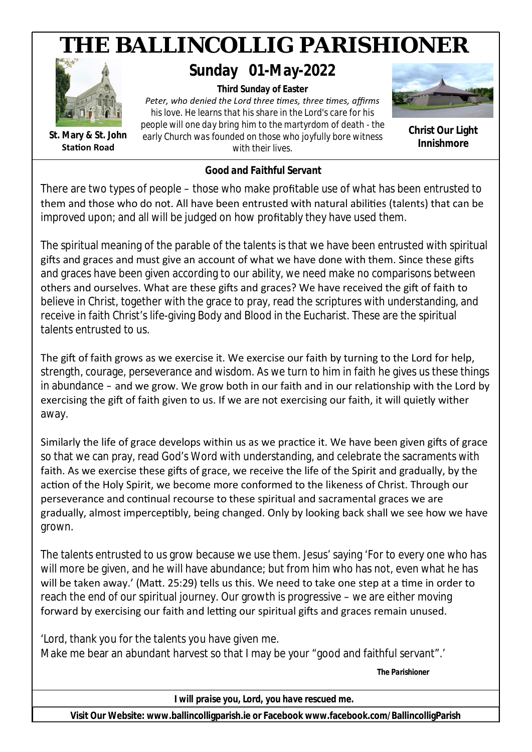

*Good and Faithful Servant*

There are two types of people – those who make profitable use of what has been entrusted to them and those who do not. All have been entrusted with natural abilities (talents) that can be improved upon; and all will be judged on how profitably they have used them.

The spiritual meaning of the parable of the talents is that we have been entrusted with spiritual gifts and graces and must give an account of what we have done with them. Since these gifts and graces have been given according to our ability, we need make no comparisons between others and ourselves. What are these gifts and graces? We have received the gift of faith to believe in Christ, together with the grace to pray, read the scriptures with understanding, and receive in faith Christ's life-giving Body and Blood in the Eucharist. These are the spiritual talents entrusted to us.

The gift of faith grows as we exercise it. We exercise our faith by turning to the Lord for help. strength, courage, perseverance and wisdom. As we turn to him in faith he gives us these things in abundance – and we grow. We grow both in our faith and in our relationship with the Lord by exercising the gift of faith given to us. If we are not exercising our faith, it will quietly wither away.

Similarly the life of grace develops within us as we practice it. We have been given gifts of grace so that we can pray, read God's Word with understanding, and celebrate the sacraments with faith. As we exercise these gifts of grace, we receive the life of the Spirit and gradually, by the action of the Holy Spirit, we become more conformed to the likeness of Christ. Through our perseverance and continual recourse to these spiritual and sacramental graces we are gradually, almost imperceptibly, being changed. Only by looking back shall we see how we have grown.

The talents entrusted to us grow because we use them. Jesus' saying 'For to every one who has will more be given, and he will have abundance; but from him who has not, even what he has will be taken away.' (Matt. 25:29) tells us this. We need to take one step at a time in order to reach the end of our spiritual journey. Our growth is progressive – we are either moving forward by exercising our faith and letting our spiritual gifts and graces remain unused.

'Lord, thank you for the talents you have given me. Make me bear an abundant harvest so that I may be your "good and faithful servant".

*The Parishioner*

*I will praise you, Lord, you have rescued me.*

**Visit Our Website: www.ballincolligparish.ie or Facebook www.facebook.com/BallincolligParish**